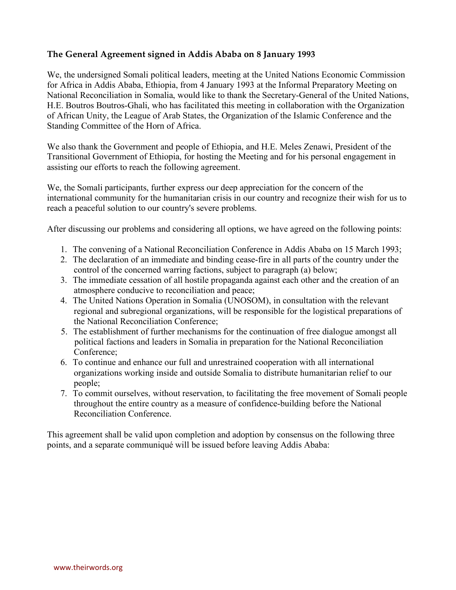## **The General Agreement signed in Addis Ababa on 8 January 1993**

We, the undersigned Somali political leaders, meeting at the United Nations Economic Commission for Africa in Addis Ababa, Ethiopia, from 4 January 1993 at the Informal Preparatory Meeting on National Reconciliation in Somalia, would like to thank the Secretary-General of the United Nations, H.E. Boutros Boutros-Ghali, who has facilitated this meeting in collaboration with the Organization of African Unity, the League of Arab States, the Organization of the Islamic Conference and the Standing Committee of the Horn of Africa.

We also thank the Government and people of Ethiopia, and H.E. Meles Zenawi, President of the Transitional Government of Ethiopia, for hosting the Meeting and for his personal engagement in assisting our efforts to reach the following agreement.

We, the Somali participants, further express our deep appreciation for the concern of the international community for the humanitarian crisis in our country and recognize their wish for us to reach a peaceful solution to our country's severe problems.

After discussing our problems and considering all options, we have agreed on the following points:

- 1. The convening of a National Reconciliation Conference in Addis Ababa on 15 March 1993;
- 2. The declaration of an immediate and binding cease-fire in all parts of the country under the control of the concerned warring factions, subject to paragraph (a) below;
- 3. The immediate cessation of all hostile propaganda against each other and the creation of an atmosphere conducive to reconciliation and peace;
- 4. The United Nations Operation in Somalia (UNOSOM), in consultation with the relevant regional and subregional organizations, will be responsible for the logistical preparations of the National Reconciliation Conference;
- 5. The establishment of further mechanisms for the continuation of free dialogue amongst all political factions and leaders in Somalia in preparation for the National Reconciliation Conference;
- 6. To continue and enhance our full and unrestrained cooperation with all international organizations working inside and outside Somalia to distribute humanitarian relief to our people;
- 7. To commit ourselves, without reservation, to facilitating the free movement of Somali people throughout the entire country as a measure of confidence-building before the National Reconciliation Conference.

This agreement shall be valid upon completion and adoption by consensus on the following three points, and a separate communiqué will be issued before leaving Addis Ababa: